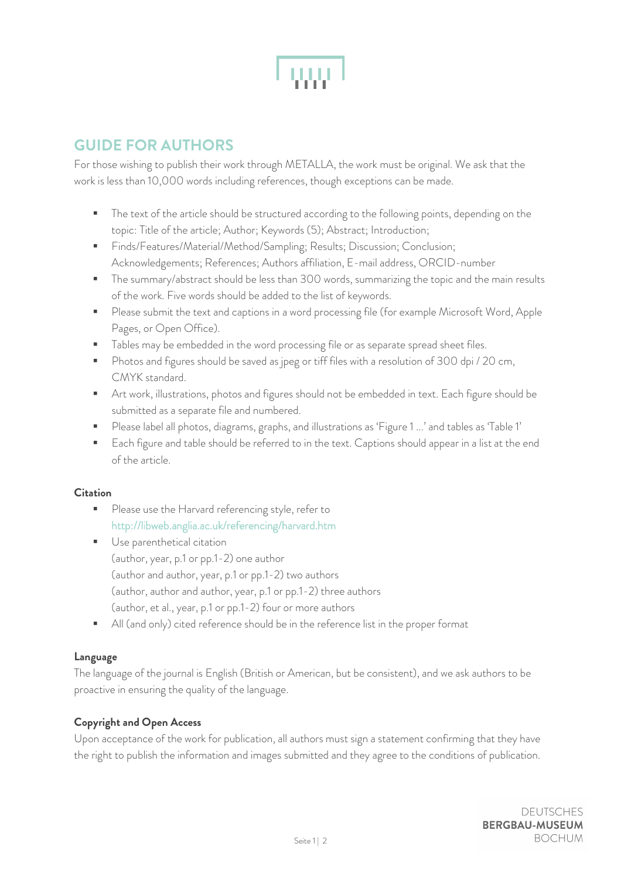

# **GUIDE FOR AUTHORS**

For those wishing to publish their work through METALLA, the work must be original. We ask that the work is less than 10,000 words including references, though exceptions can be made.

- **The text of the article should be structured according to the following points, depending on the** topic: Title of the article; Author; Keywords (5); Abstract; Introduction;
- Finds/Features/Material/Method/Sampling; Results; Discussion; Conclusion; Acknowledgements; References; Authors affiliation, E-mail address, ORCID-number
- **The summary/abstract should be less than 300 words, summarizing the topic and the main results** of the work. Five words should be added to the list of keywords.
- **Please submit the text and captions in a word processing file (for example Microsoft Word, Apple** Pages, or Open Office).
- **Tables may be embedded in the word processing file or as separate spread sheet files.**
- **Photos and figures should be saved as jpeg or tiff files with a resolution of 300 dpi** / 20 cm, CMYK standard.
- Art work, illustrations, photos and figures should not be embedded in text. Each figure should be submitted as a separate file and numbered.
- Please label all photos, diagrams, graphs, and illustrations as 'Figure 1 ...' and tables as 'Table 1'
- **Each figure and table should be referred to in the text. Captions should appear in a list at the end** of the article.

## **Citation**

- Please use the Harvard referencing style, refer to <http://libweb.anglia.ac.uk/referencing/harvard.htm>
- **Use parenthetical citation** (author, year, p.1 or pp.1-2) one author (author and author, year, p.1 or pp.1-2) two authors (author, author and author, year, p.1 or pp.1-2) three authors (author, et al., year, p.1 or pp.1-2) four or more authors
- All (and only) cited reference should be in the reference list in the proper format

## **Language**

The language of the journal is English (British or American, but be consistent), and we ask authors to be proactive in ensuring the quality of the language.

## **Copyright and Open Access**

Upon acceptance of the work for publication, all authors must sign a statement confirming that they have the right to publish the information and images submitted and they agree to the conditions of publication.